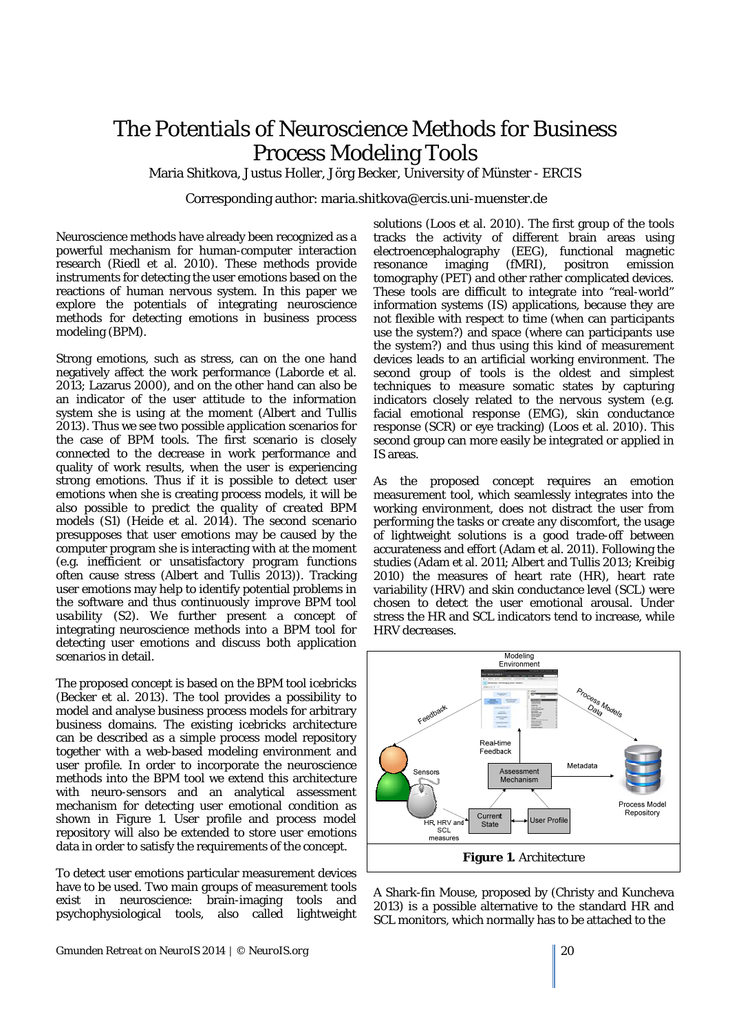## The Potentials of Neuroscience Methods for Business Process Modeling Tools

Maria Shitkova, Justus Holler, Jörg Becker, University of Münster - ERCIS

Corresponding author: maria.shitkova@ercis.uni-muenster.de

Neuroscience methods have already been recognized as a powerful mechanism for human-computer interaction research (Riedl et al. 2010). These methods provide instruments for detecting the user emotions based on the reactions of human nervous system. In this paper we explore the potentials of integrating neuroscience methods for detecting emotions in business process modeling (BPM).

Strong emotions, such as stress, can on the one hand negatively affect the work performance (Laborde et al. 2013; Lazarus 2000), and on the other hand can also be an indicator of the user attitude to the information system she is using at the moment (Albert and Tullis 2013). Thus we see two possible application scenarios for the case of BPM tools. The first scenario is closely connected to the decrease in work performance and quality of work results, when the user is experiencing strong emotions. Thus if it is possible to detect user emotions when she is creating process models, it will be also possible to *predict the quality of created BPM models* (S1) (Heide et al. 2014). The second scenario presupposes that user emotions may be caused by the computer program she is interacting with at the moment (e.g. inefficient or unsatisfactory program functions often cause stress (Albert and Tullis 2013)). Tracking user emotions may help to identify potential problems in the software and thus *continuously improve BPM tool* usability (S2). We further present a concept of integrating neuroscience methods into a BPM tool for detecting user emotions and discuss both application scenarios in detail.

The proposed concept is based on the BPM tool icebricks (Becker et al. 2013). The tool provides a possibility to model and analyse business process models for arbitrary business domains. The existing icebricks architecture can be described as a simple process model repository together with a web-based modeling environment and user profile. In order to incorporate the neuroscience methods into the BPM tool we extend this architecture with neuro-sensors and an analytical assessment mechanism for detecting user emotional condition as shown in Figure 1. User profile and process model repository will also be extended to store user emotions data in order to satisfy the requirements of the concept.

To detect user emotions particular measurement devices have to be used. Two main groups of measurement tools exist in neuroscience: brain-imaging tools and psychophysiological tools, also called lightweight solutions (Loos et al. 2010). The first group of the tools tracks the activity of different brain areas using electroencephalography (EEG), functional magnetic resonance imaging (fMRI), positron emission tomography (PET) and other rather complicated devices. These tools are difficult to integrate into "real-world" information systems (IS) applications, because they are not flexible with respect to time (when can participants use the system?) and space (where can participants use the system?) and thus using this kind of measurement devices leads to an artificial working environment. The second group of tools is the oldest and simplest techniques to measure somatic states by capturing indicators closely related to the nervous system (e.g. facial emotional response (EMG), skin conductance response (SCR) or eye tracking) (Loos et al. 2010). This second group can more easily be integrated or applied in IS areas.

As the proposed concept requires an emotion measurement tool, which seamlessly integrates into the working environment, does not distract the user from performing the tasks or create any discomfort, the usage of lightweight solutions is a good trade-off between accurateness and effort (Adam et al. 2011). Following the studies (Adam et al. 2011; Albert and Tullis 2013; Kreibig 2010) the measures of heart rate (HR), heart rate variability (HRV) and skin conductance level (SCL) were chosen to detect the user emotional arousal. Under stress the HR and SCL indicators tend to increase, while HRV decreases.



A Shark-fin Mouse, proposed by (Christy and Kuncheva 2013) is a possible alternative to the standard HR and SCL monitors, which normally has to be attached to the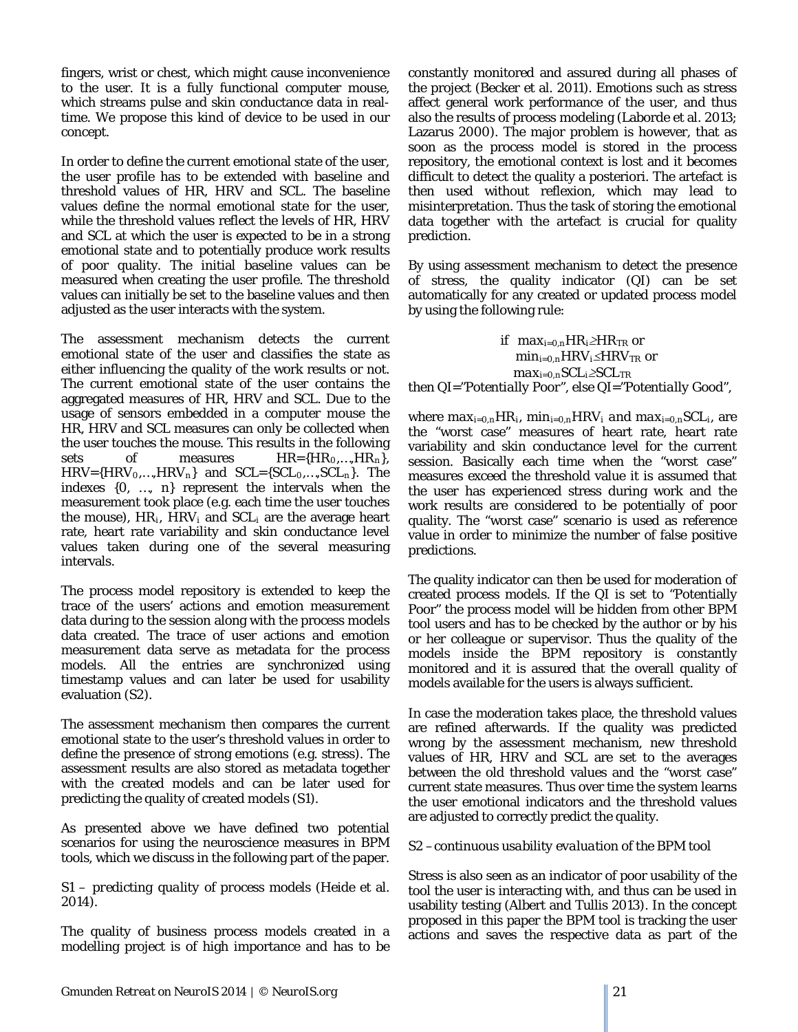fingers, wrist or chest, which might cause inconvenience to the user. It is a fully functional computer mouse, which streams pulse and skin conductance data in realtime. We propose this kind of device to be used in our concept.

In order to define the current emotional state of the user, the user profile has to be extended with baseline and threshold values of HR, HRV and SCL. The baseline values define the normal emotional state for the user, while the threshold values reflect the levels of HR, HRV and SCL at which the user is expected to be in a strong emotional state and to potentially produce work results of poor quality. The initial baseline values can be measured when creating the user profile. The threshold values can initially be set to the baseline values and then adjusted as the user interacts with the system.

The assessment mechanism detects the current emotional state of the user and classifies the state as either influencing the quality of the work results or not. The current emotional state of the user contains the aggregated measures of HR, HRV and SCL. Due to the usage of sensors embedded in a computer mouse the HR, HRV and SCL measures can only be collected when the user touches the mouse. This results in the following sets of measures  $HR=\{HR_0,...,HR_n\}$ , *HRV={HRV0,…,HRVn}* and *SCL={SCL0,…,SCLn}*. The indexes *{0, …, n}* represent the intervals when the measurement took place (e.g. each time the user touches the mouse), *HRi, HRVi* and *SCLi* are the average heart rate, heart rate variability and skin conductance level values taken during one of the several measuring intervals.

The process model repository is extended to keep the trace of the users' actions and emotion measurement data during to the session along with the process models data created. The trace of user actions and emotion measurement data serve as metadata for the process models. All the entries are synchronized using timestamp values and can later be used for usability evaluation (S2).

The assessment mechanism then compares the current emotional state to the user's threshold values in order to define the presence of strong emotions (e.g. stress). The assessment results are also stored as metadata together with the created models and can be later used for predicting the quality of created models (S1).

As presented above we have defined two potential scenarios for using the neuroscience measures in BPM tools, which we discuss in the following part of the paper.

*S1 – predicting quality of process models* (Heide et al. 2014)*.*

The quality of business process models created in a modelling project is of high importance and has to be constantly monitored and assured during all phases of the project (Becker et al. 2011). Emotions such as stress affect general work performance of the user, and thus also the results of process modeling (Laborde et al. 2013; Lazarus 2000). The major problem is however, that as soon as the process model is stored in the process repository, the emotional context is lost and it becomes difficult to detect the quality a posteriori. The artefact is then used without reflexion, which may lead to misinterpretation. Thus the task of storing the emotional data together with the artefact is crucial for quality prediction.

By using assessment mechanism to detect the presence of stress, the quality indicator *(QI)* can be set automatically for any created or updated process model by using the following rule:

if *maxi=0,nHRi*≥*HRTR* or *min<sub>i=0,n</sub>HRV<sub>i</sub>≤HRV<sub>TR</sub>* or *max i=0,nSCLi*≥*SCL TR* then *QI="Potentially Poor",* else *QI="Potentially Good",*

where  $max_{i=0,n} H R_i$ ,  $min_{i=0,n} H R V_i$  and  $max_{i=0,n} S C L_i$ , are the "worst case" measures of heart rate, heart rate variability and skin conductance level for the current session. Basically each time when the "worst case" measures exceed the threshold value it is assumed that the user has experienced stress during work and the work results are considered to be potentially of poor quality. The "worst case" scenario is used as reference value in order to minimize the number of false positive predictions.

The quality indicator can then be used for moderation of created process models. If the QI is set to "Potentially Poor" the process model will be hidden from other BPM tool users and has to be checked by the author or by his or her colleague or supervisor. Thus the quality of the models inside the BPM repository is constantly monitored and it is assured that the overall quality of models available for the users is always sufficient.

In case the moderation takes place, the threshold values are refined afterwards. If the quality was predicted wrong by the assessment mechanism, new threshold values of HR, HRV and SCL are set to the averages between the old threshold values and the "worst case" current state measures. Thus over time the system learns the user emotional indicators and the threshold values are adjusted to correctly predict the quality.

## *S2 –continuous usability evaluation of the BPM tool*

Stress is also seen as an indicator of poor usability of the tool the user is interacting with, and thus can be used in usability testing (Albert and Tullis 2013). In the concept proposed in this paper the BPM tool is tracking the user actions and saves the respective data as part of the